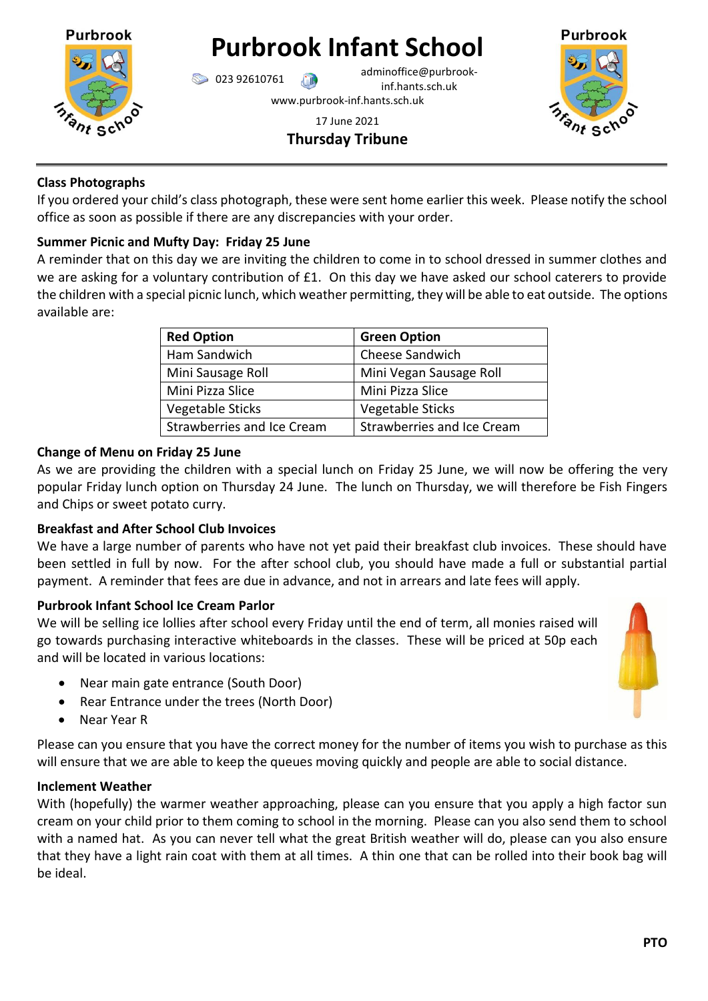

# **Purbrook Infant School**

023 92610761 adminoffice@purbrookinf.hants.sch.uk www.purbrook-inf.hants.sch.uk



17 June 2021 **Thursday Tribune**

## **Class Photographs**

If you ordered your child's class photograph, these were sent home earlier this week. Please notify the school office as soon as possible if there are any discrepancies with your order.

## **Summer Picnic and Mufty Day: Friday 25 June**

A reminder that on this day we are inviting the children to come in to school dressed in summer clothes and we are asking for a voluntary contribution of £1. On this day we have asked our school caterers to provide the children with a special picnic lunch, which weather permitting, they will be able to eat outside. The options available are:

| <b>Red Option</b>                 | <b>Green Option</b>               |
|-----------------------------------|-----------------------------------|
| Ham Sandwich                      | Cheese Sandwich                   |
| Mini Sausage Roll                 | Mini Vegan Sausage Roll           |
| Mini Pizza Slice                  | Mini Pizza Slice                  |
| Vegetable Sticks                  | Vegetable Sticks                  |
| <b>Strawberries and Ice Cream</b> | <b>Strawberries and Ice Cream</b> |

## **Change of Menu on Friday 25 June**

As we are providing the children with a special lunch on Friday 25 June, we will now be offering the very popular Friday lunch option on Thursday 24 June. The lunch on Thursday, we will therefore be Fish Fingers and Chips or sweet potato curry.

## **Breakfast and After School Club Invoices**

We have a large number of parents who have not yet paid their breakfast club invoices. These should have been settled in full by now.For the after school club, you should have made a full or substantial partial payment. A reminder that fees are due in advance, and not in arrears and late fees will apply.

# **Purbrook Infant School Ice Cream Parlor**

We will be selling ice lollies after school every Friday until the end of term, all monies raised will go towards purchasing interactive whiteboards in the classes. These will be priced at 50p each and will be located in various locations:

- Near main gate entrance (South Door)
- Rear Entrance under the trees (North Door)
- Near Year R

Please can you ensure that you have the correct money for the number of items you wish to purchase as this will ensure that we are able to keep the queues moving quickly and people are able to social distance.

## **Inclement Weather**

With (hopefully) the warmer weather approaching, please can you ensure that you apply a high factor sun cream on your child prior to them coming to school in the morning. Please can you also send them to school with a named hat. As you can never tell what the great British weather will do, please can you also ensure that they have a light rain coat with them at all times. A thin one that can be rolled into their book bag will be ideal.